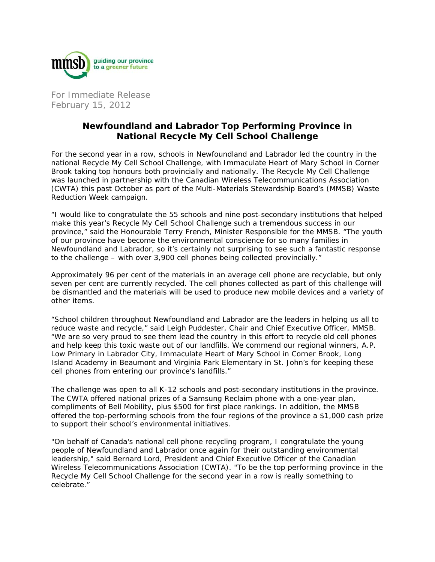

For Immediate Release February 15, 2012

## **Newfoundland and Labrador Top Performing Province in National Recycle My Cell School Challenge**

For the second year in a row, schools in Newfoundland and Labrador led the country in the national Recycle My Cell School Challenge, with Immaculate Heart of Mary School in Corner Brook taking top honours both provincially and nationally. The Recycle My Cell Challenge was launched in partnership with the Canadian Wireless Telecommunications Association (CWTA) this past October as part of the Multi-Materials Stewardship Board's (MMSB) Waste Reduction Week campaign.

"I would like to congratulate the 55 schools and nine post-secondary institutions that helped make this year's Recycle My Cell School Challenge such a tremendous success in our province," said the Honourable Terry French, Minister Responsible for the MMSB. "The youth of our province have become the environmental conscience for so many families in Newfoundland and Labrador, so it's certainly not surprising to see such a fantastic response to the challenge – with over 3,900 cell phones being collected provincially."

Approximately 96 per cent of the materials in an average cell phone are recyclable, but only seven per cent are currently recycled. The cell phones collected as part of this challenge will be dismantled and the materials will be used to produce new mobile devices and a variety of other items.

"School children throughout Newfoundland and Labrador are the leaders in helping us all to reduce waste and recycle," said Leigh Puddester, Chair and Chief Executive Officer, MMSB. "We are so very proud to see them lead the country in this effort to recycle old cell phones and help keep this toxic waste out of our landfills. We commend our regional winners, A.P. Low Primary in Labrador City, Immaculate Heart of Mary School in Corner Brook, Long Island Academy in Beaumont and Virginia Park Elementary in St. John's for keeping these cell phones from entering our province's landfills."

The challenge was open to all K-12 schools and post-secondary institutions in the province. The CWTA offered national prizes of a Samsung Reclaim phone with a one-year plan, compliments of Bell Mobility, plus \$500 for first place rankings. In addition, the MMSB offered the top-performing schools from the four regions of the province a \$1,000 cash prize to support their school's environmental initiatives.

"On behalf of Canada's national cell phone recycling program, I congratulate the young people of Newfoundland and Labrador once again for their outstanding environmental leadership," said Bernard Lord, President and Chief Executive Officer of the Canadian Wireless Telecommunications Association (CWTA). "To be the top performing province in the Recycle My Cell School Challenge for the second year in a row is really something to celebrate."